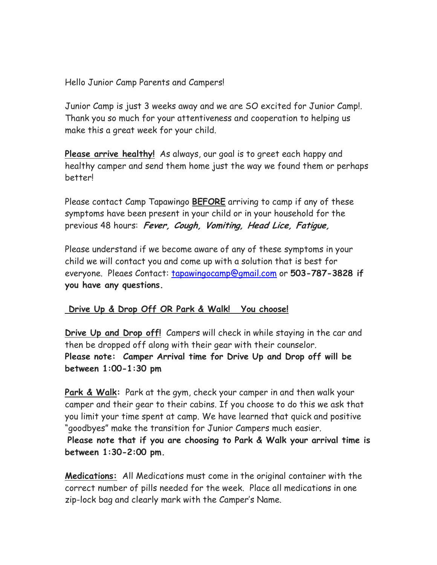Hello Junior Camp Parents and Campers!

Junior Camp is just 3 weeks away and we are SO excited for Junior Camp!. Thank you so much for your attentiveness and cooperation to helping us make this a great week for your child.

**Please arrive healthy!** As always, our goal is to greet each happy and healthy camper and send them home just the way we found them or perhaps better!

Please contact Camp Tapawingo **BEFORE** arriving to camp if any of these symptoms have been present in your child or in your household for the previous 48 hours: **Fever, Cough, Vomiting, Head Lice, Fatigue,** 

Please understand if we become aware of any of these symptoms in your child we will contact you and come up with a solution that is best for everyone. Pleaes Contact: tapawingocamp@gmail.com or **503-787-3828 if you have any questions.** 

## **Drive Up & Drop Off OR Park & Walk! You choose!**

**Drive Up and Drop off!** Campers will check in while staying in the car and then be dropped off along with their gear with their counselor. **Please note: Camper Arrival time for Drive Up and Drop off will be between 1:00-1:30 pm** 

**Park & Walk:** Park at the gym, check your camper in and then walk your camper and their gear to their cabins. If you choose to do this we ask that you limit your time spent at camp. We have learned that quick and positive "goodbyes" make the transition for Junior Campers much easier.

**Please note that if you are choosing to Park & Walk your arrival time is between 1:30-2:00 pm.** 

**Medications:** All Medications must come in the original container with the correct number of pills needed for the week. Place all medications in one zip-lock bag and clearly mark with the Camper's Name.